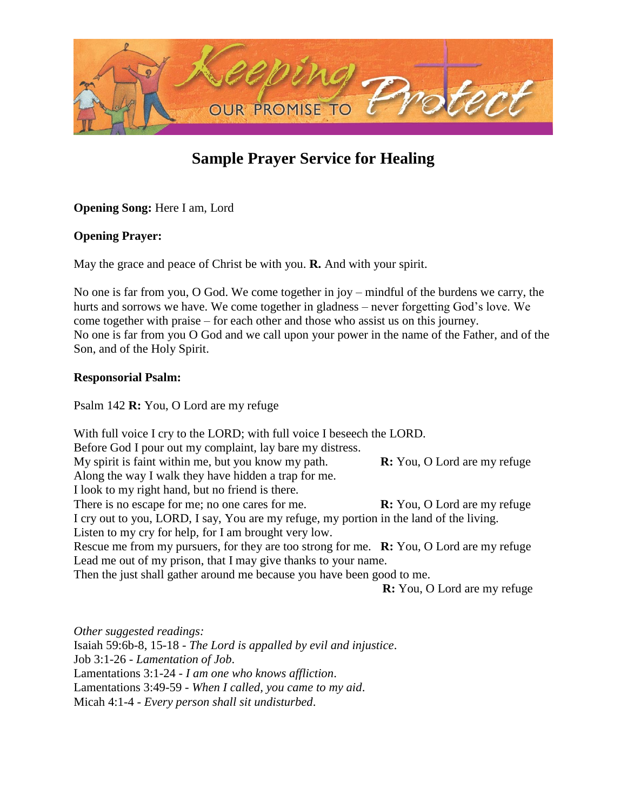

# **Sample Prayer Service for Healing**

**Opening Song:** Here I am, Lord

## **Opening Prayer:**

May the grace and peace of Christ be with you. **R.** And with your spirit.

No one is far from you, O God. We come together in joy – mindful of the burdens we carry, the hurts and sorrows we have. We come together in gladness – never forgetting God's love. We come together with praise – for each other and those who assist us on this journey. No one is far from you O God and we call upon your power in the name of the Father, and of the Son, and of the Holy Spirit.

## **Responsorial Psalm:**

Psalm 142 **R:** You, O Lord are my refuge

With full voice I cry to the LORD; with full voice I beseech the LORD. Before God I pour out my complaint, lay bare my distress. My spirit is faint within me, but you know my path. **R:** You, O Lord are my refuge Along the way I walk they have hidden a trap for me. I look to my right hand, but no friend is there. There is no escape for me; no one cares for me. **R:** You, O Lord are my refuge I cry out to you, LORD, I say, You are my refuge, my portion in the land of the living. Listen to my cry for help, for I am brought very low. Rescue me from my pursuers, for they are too strong for me. **R:** You, O Lord are my refuge Lead me out of my prison, that I may give thanks to your name. Then the just shall gather around me because you have been good to me.

**R:** You, O Lord are my refuge

*Other suggested readings:* Isaiah 59:6b-8, 15-18 - *The Lord is appalled by evil and injustice*. Job 3:1-26 - *Lamentation of Job*. Lamentations 3:1-24 - *I am one who knows affliction*. Lamentations 3:49-59 - *When I called, you came to my aid*. Micah 4:1-4 - *Every person shall sit undisturbed*.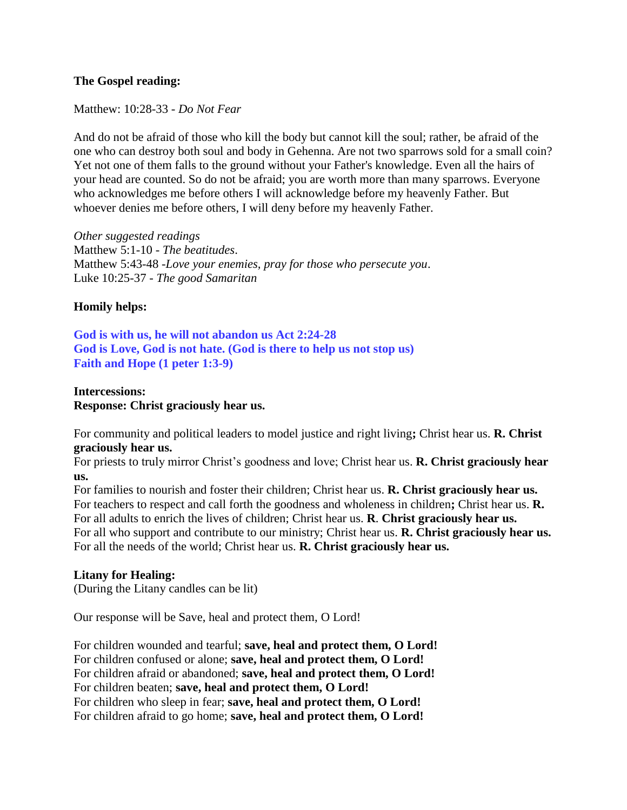#### **The Gospel reading:**

Matthew: 10:28-33 - *Do Not Fear*

And do not be afraid of those who kill the body but cannot kill the soul; rather, be afraid of the one who can destroy both soul and body in Gehenna. Are not two sparrows sold for a small coin? Yet not one of them falls to the ground without your Father's knowledge. Even all the hairs of your head are counted. So do not be afraid; you are worth more than many sparrows. Everyone who acknowledges me before others I will acknowledge before my heavenly Father. But whoever denies me before others, I will deny before my heavenly Father.

*Other suggested readings* Matthew 5:1-10 - *The beatitudes*. Matthew 5:43-48 -*Love your enemies, pray for those who persecute you*. Luke 10:25-37 - *The good Samaritan*

## **Homily helps:**

**God is with us, he will not abandon us Act 2:24-28 God is Love, God is not hate. (God is there to help us not stop us) Faith and Hope (1 peter 1:3-9)**

#### **Intercessions: Response: Christ graciously hear us.**

For community and political leaders to model justice and right living**;** Christ hear us. **R. Christ graciously hear us.**

For priests to truly mirror Christ's goodness and love; Christ hear us. **R. Christ graciously hear us.**

For families to nourish and foster their children; Christ hear us. **R. Christ graciously hear us.** For teachers to respect and call forth the goodness and wholeness in children**;** Christ hear us. **R.** For all adults to enrich the lives of children; Christ hear us. **R**. **Christ graciously hear us.** For all who support and contribute to our ministry; Christ hear us. **R. Christ graciously hear us.** For all the needs of the world; Christ hear us. **R. Christ graciously hear us.**

## **Litany for Healing:**

(During the Litany candles can be lit)

Our response will be Save, heal and protect them, O Lord!

For children wounded and tearful; **save, heal and protect them, O Lord!** For children confused or alone; **save, heal and protect them, O Lord!**  For children afraid or abandoned; **save, heal and protect them, O Lord!**  For children beaten; **save, heal and protect them, O Lord!**  For children who sleep in fear; **save, heal and protect them, O Lord!**  For children afraid to go home; **save, heal and protect them, O Lord!**